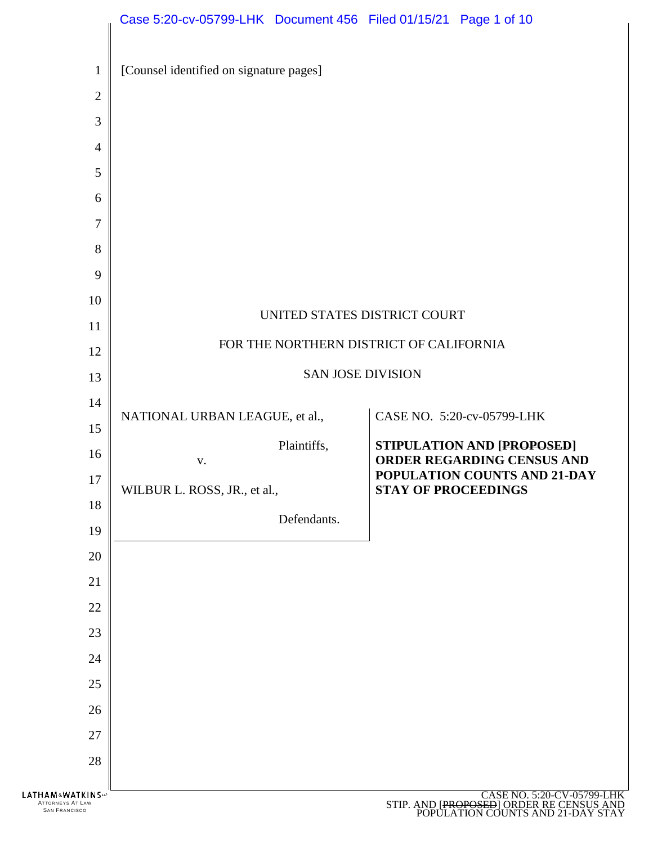|                                                             | Case 5:20-cv-05799-LHK Document 456 Filed 01/15/21 Page 1 of 10 |                          |                                         |                                                                                                             |
|-------------------------------------------------------------|-----------------------------------------------------------------|--------------------------|-----------------------------------------|-------------------------------------------------------------------------------------------------------------|
| $\mathbf{1}$                                                | [Counsel identified on signature pages]                         |                          |                                         |                                                                                                             |
| $\mathbf{2}$                                                |                                                                 |                          |                                         |                                                                                                             |
| 3                                                           |                                                                 |                          |                                         |                                                                                                             |
| $\overline{4}$                                              |                                                                 |                          |                                         |                                                                                                             |
| 5                                                           |                                                                 |                          |                                         |                                                                                                             |
| 6                                                           |                                                                 |                          |                                         |                                                                                                             |
| $\tau$                                                      |                                                                 |                          |                                         |                                                                                                             |
| 8                                                           |                                                                 |                          |                                         |                                                                                                             |
| 9                                                           |                                                                 |                          |                                         |                                                                                                             |
| 10                                                          |                                                                 |                          | UNITED STATES DISTRICT COURT            |                                                                                                             |
| 11                                                          |                                                                 |                          |                                         |                                                                                                             |
| 12                                                          |                                                                 |                          | FOR THE NORTHERN DISTRICT OF CALIFORNIA |                                                                                                             |
| 13                                                          |                                                                 | <b>SAN JOSE DIVISION</b> |                                         |                                                                                                             |
| 14                                                          | NATIONAL URBAN LEAGUE, et al.,                                  |                          |                                         | CASE NO. 5:20-cv-05799-LHK                                                                                  |
| 15                                                          |                                                                 | Plaintiffs,              |                                         | STIPULATION AND [PROPOSED]                                                                                  |
| 16                                                          | V.                                                              |                          |                                         | ORDER REGARDING CENSUS AND                                                                                  |
| $17\,$                                                      | WILBUR L. ROSS, JR., et al.,                                    |                          | <b>STAY OF PROCEEDINGS</b>              | POPULATION COUNTS AND 21-DAY                                                                                |
| 18                                                          |                                                                 | Defendants.              |                                         |                                                                                                             |
| 19                                                          |                                                                 |                          |                                         |                                                                                                             |
| 20                                                          |                                                                 |                          |                                         |                                                                                                             |
| 21<br>22                                                    |                                                                 |                          |                                         |                                                                                                             |
| 23                                                          |                                                                 |                          |                                         |                                                                                                             |
| 24                                                          |                                                                 |                          |                                         |                                                                                                             |
| 25                                                          |                                                                 |                          |                                         |                                                                                                             |
| 26                                                          |                                                                 |                          |                                         |                                                                                                             |
| 27                                                          |                                                                 |                          |                                         |                                                                                                             |
| 28                                                          |                                                                 |                          |                                         |                                                                                                             |
|                                                             |                                                                 |                          |                                         |                                                                                                             |
| LATHAM&WATKINSW<br>ATTORNEYS AT LAW<br><b>SAN FRANCISCO</b> |                                                                 |                          |                                         | CASE NO. 5:20-CV-05799-LHK<br>STIP. AND [PROPOSED] ORDER RE CENSUS AND<br>POPULATION COUNTS AND 21 DAY STAY |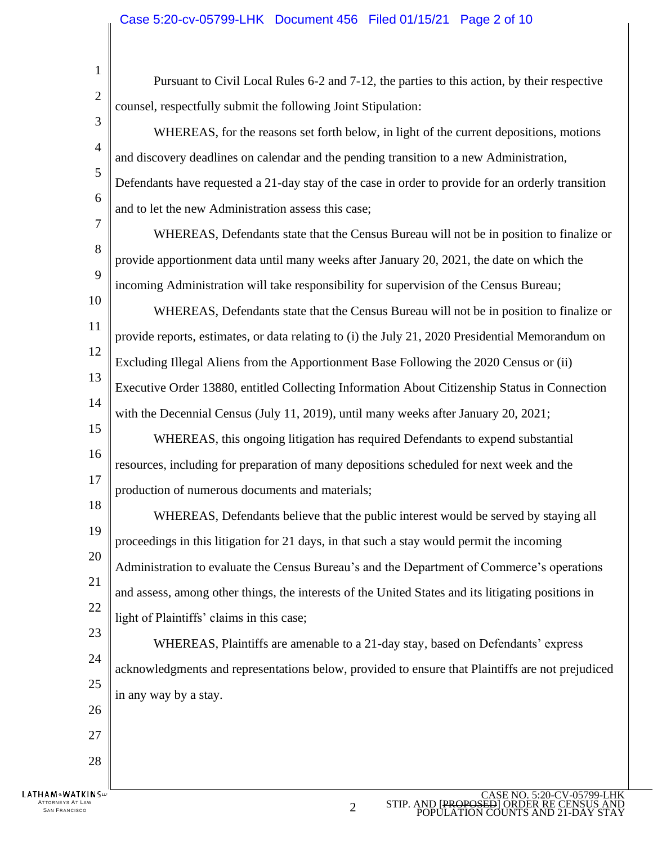1 Pursuant to Civil Local Rules 6-2 and 7-12, the parties to this action, by their respective 2 counsel, respectfully submit the following Joint Stipulation: 3 WHEREAS, for the reasons set forth below, in light of the current depositions, motions 4 and discovery deadlines on calendar and the pending transition to a new Administration, 5 Defendants have requested a 21-day stay of the case in order to provide for an orderly transition 6 and to let the new Administration assess this case; 7 WHEREAS, Defendants state that the Census Bureau will not be in position to finalize or 8 provide apportionment data until many weeks after January 20, 2021, the date on which the 9 incoming Administration will take responsibility for supervision of the Census Bureau; 10 WHEREAS, Defendants state that the Census Bureau will not be in position to finalize or 11 provide reports, estimates, or data relating to (i) the July 21, 2020 Presidential Memorandum on 12 Excluding Illegal Aliens from the Apportionment Base Following the 2020 Census or (ii) 13 Executive Order 13880, entitled Collecting Information About Citizenship Status in Connection 14 with the Decennial Census (July 11, 2019), until many weeks after January 20, 2021; 15 WHEREAS, this ongoing litigation has required Defendants to expend substantial 16 resources, including for preparation of many depositions scheduled for next week and the 17 production of numerous documents and materials; 18 WHEREAS, Defendants believe that the public interest would be served by staying all 19 proceedings in this litigation for 21 days, in that such a stay would permit the incoming 20 Administration to evaluate the Census Bureau's and the Department of Commerce's operations 21 and assess, among other things, the interests of the United States and its litigating positions in 22 light of Plaintiffs' claims in this case; 23 WHEREAS, Plaintiffs are amenable to a 21-day stay, based on Defendants' express 24 acknowledgments and representations below, provided to ensure that Plaintiffs are not prejudiced 25 in any way by a stay. 26 27 28 **LATHAM&WATKINS** 

ATTORNEYS AT LAW TTORNEYS AT LAW  $\,$  same state of the state of the state of the state of the state of the state of the state of the state of the state of the state of the state of the state of the state of the state of the state of the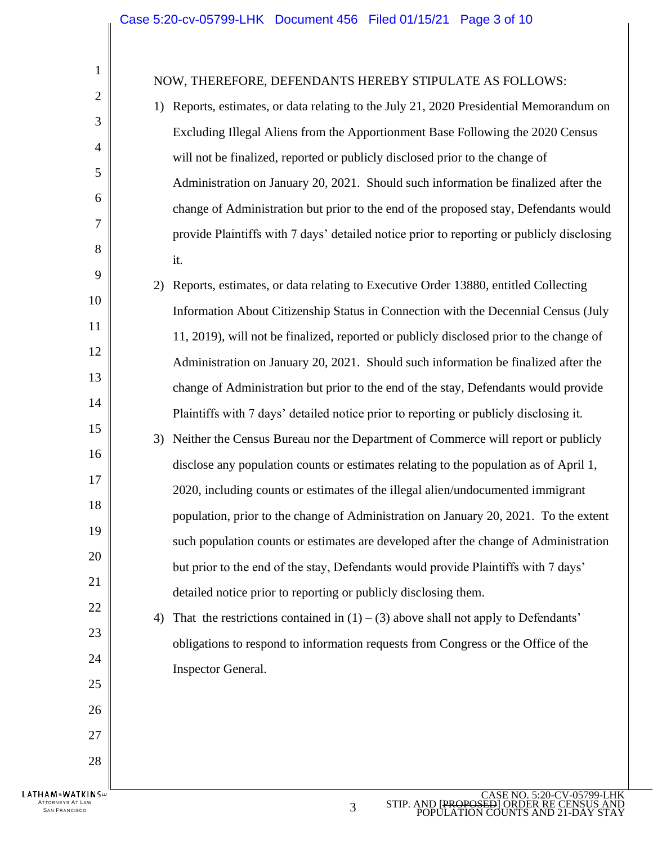$\parallel$ 

| $\mathbf{1}$                               | NOW, THEREFORE, DEFENDANTS HEREBY STIPULATE AS FOLLOWS:                                    |
|--------------------------------------------|--------------------------------------------------------------------------------------------|
| $\overline{c}$                             | Reports, estimates, or data relating to the July 21, 2020 Presidential Memorandum on<br>1) |
| 3                                          | Excluding Illegal Aliens from the Apportionment Base Following the 2020 Census             |
| $\overline{4}$                             | will not be finalized, reported or publicly disclosed prior to the change of               |
| 5                                          | Administration on January 20, 2021. Should such information be finalized after the         |
| 6                                          | change of Administration but prior to the end of the proposed stay, Defendants would       |
| $\overline{7}$                             | provide Plaintiffs with 7 days' detailed notice prior to reporting or publicly disclosing  |
| $8\,$                                      | it.                                                                                        |
| 9                                          | Reports, estimates, or data relating to Executive Order 13880, entitled Collecting<br>2)   |
| 10                                         | Information About Citizenship Status in Connection with the Decennial Census (July         |
| 11                                         | 11, 2019), will not be finalized, reported or publicly disclosed prior to the change of    |
| 12                                         | Administration on January 20, 2021. Should such information be finalized after the         |
| 13                                         | change of Administration but prior to the end of the stay, Defendants would provide        |
| 14                                         | Plaintiffs with 7 days' detailed notice prior to reporting or publicly disclosing it.      |
| 15                                         | Neither the Census Bureau nor the Department of Commerce will report or publicly<br>3)     |
| 16                                         | disclose any population counts or estimates relating to the population as of April 1,      |
| 17                                         | 2020, including counts or estimates of the illegal alien/undocumented immigrant            |
| 18                                         | population, prior to the change of Administration on January 20, 2021. To the extent       |
| 19                                         | such population counts or estimates are developed after the change of Administration       |
| 20                                         | but prior to the end of the stay, Defendants would provide Plaintiffs with 7 days'         |
| 21                                         | detailed notice prior to reporting or publicly disclosing them.                            |
| 22                                         | That the restrictions contained in $(1) - (3)$ above shall not apply to Defendants'<br>4)  |
| 23                                         | obligations to respond to information requests from Congress or the Office of the          |
| 24                                         | Inspector General.                                                                         |
| 25                                         |                                                                                            |
| 26                                         |                                                                                            |
| 27                                         |                                                                                            |
| 28                                         |                                                                                            |
| .ATHAM®WATKINS™<br><b>ATTORNEYS AT LAW</b> | CASE NO. 5:20-CV-05799-LF<br>STIP. AND [PROPOSED] ORDER RECEN                              |
| <b>SAN FRANCISCO</b>                       | 3<br>DODI II ATION COI INTS                                                                |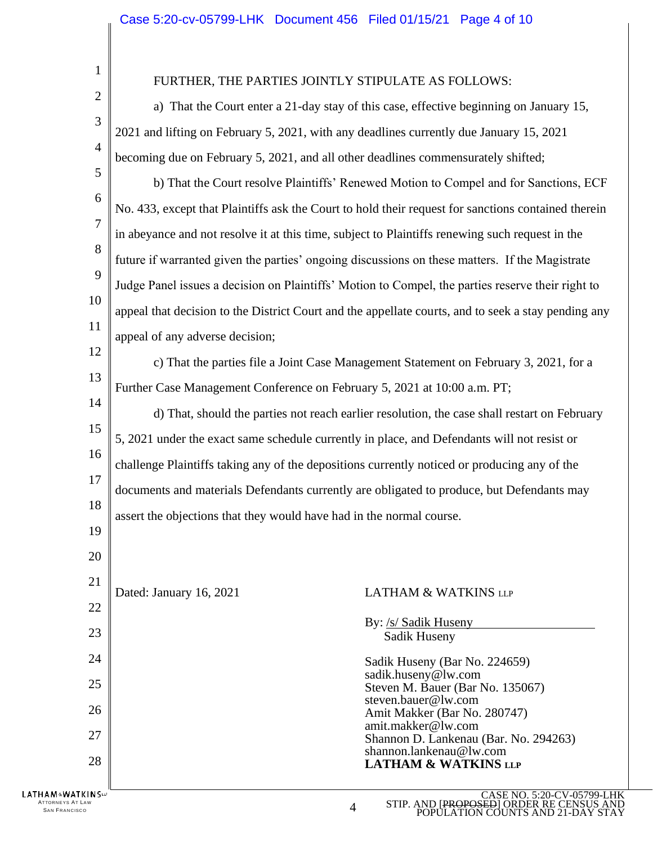1 FURTHER, THE PARTIES JOINTLY STIPULATE AS FOLLOWS: 2 a) That the Court enter a 21-day stay of this case, effective beginning on January 15, 3 2021 and lifting on February 5, 2021, with any deadlines currently due January 15, 2021 4 becoming due on February 5, 2021, and all other deadlines commensurately shifted; 5 b) That the Court resolve Plaintiffs' Renewed Motion to Compel and for Sanctions, ECF 6 No. 433, except that Plaintiffs ask the Court to hold their request for sanctions contained therein 7 in abeyance and not resolve it at this time, subject to Plaintiffs renewing such request in the 8 future if warranted given the parties' ongoing discussions on these matters. If the Magistrate 9 Judge Panel issues a decision on Plaintiffs' Motion to Compel, the parties reserve their right to 10 appeal that decision to the District Court and the appellate courts, and to seek a stay pending any 11 appeal of any adverse decision; 12 c) That the parties file a Joint Case Management Statement on February 3, 2021, for a 13 Further Case Management Conference on February 5, 2021 at 10:00 a.m. PT; 14 d) That, should the parties not reach earlier resolution, the case shall restart on February 15 5, 2021 under the exact same schedule currently in place, and Defendants will not resist or 16 challenge Plaintiffs taking any of the depositions currently noticed or producing any of the 17 documents and materials Defendants currently are obligated to produce, but Defendants may 18 assert the objections that they would have had in the normal course. 19 20 21 Dated: January 16, 2021 LATHAM & WATKINS LLP 22 By: /s/ Sadik Huseny 23 Sadik Huseny 24 Sadik Huseny (Bar No. 224659) sadik.huseny@lw.com 25 Steven M. Bauer (Bar No. 135067) steven.bauer@lw.com 26 Amit Makker (Bar No. 280747) amit.makker@lw.com 27 Shannon D. Lankenau (Bar. No. 294263) shannon.lankenau@lw.com 28 **LATHAM & WATKINS LLP LATHAM&WATKINS** CASE NO. 5:20-CV-05799-LHK **ATTORNEYS AT LAW** STIP. AND [PROPOSED] ORDER RE CENSUS AND TTORNEYS AT LAW<br>SAN FRANCISCO POPULATION COUNTS AND 21-DAY STAY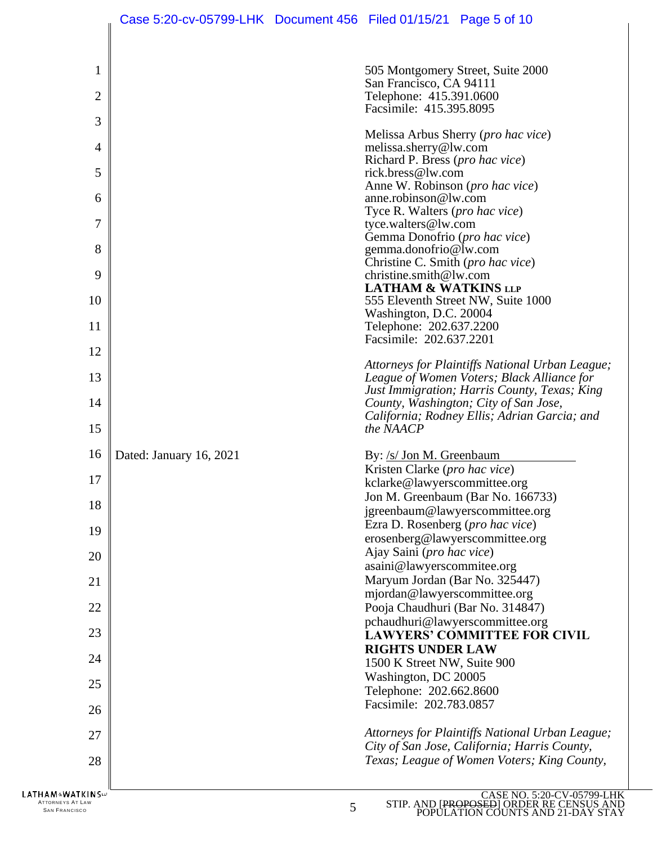|                           | Case 5:20-cv-05799-LHK  Document 456  Filed 01/15/21  Page 5 of 10 |                                                           |                                                                                               |
|---------------------------|--------------------------------------------------------------------|-----------------------------------------------------------|-----------------------------------------------------------------------------------------------|
|                           |                                                                    |                                                           |                                                                                               |
| 1                         |                                                                    |                                                           | 505 Montgomery Street, Suite 2000                                                             |
| $\overline{2}$            |                                                                    | San Francisco, CA 94111<br>Telephone: 415.391.0600        |                                                                                               |
|                           |                                                                    | Facsimile: 415.395.8095                                   |                                                                                               |
| 3                         |                                                                    |                                                           |                                                                                               |
| 4                         |                                                                    | melissa.sherry@lw.com                                     | Melissa Arbus Sherry (pro hac vice)                                                           |
|                           |                                                                    | Richard P. Bress (pro hac vice)                           |                                                                                               |
| 5                         |                                                                    | rick.bress@lw.com                                         |                                                                                               |
| 6                         |                                                                    | Anne W. Robinson (pro hac vice)<br>anne.robinson@lw.com   |                                                                                               |
|                           |                                                                    | Tyce R. Walters (pro hac vice)                            |                                                                                               |
| 7                         |                                                                    | tyce.walters@lw.com<br>Gemma Donofrio (pro hac vice)      |                                                                                               |
| 8                         |                                                                    | gemma.donofrio@lw.com                                     |                                                                                               |
|                           |                                                                    | Christine C. Smith (pro hac vice)                         |                                                                                               |
| 9                         |                                                                    | christine.smith@lw.com<br><b>LATHAM &amp; WATKINS LLP</b> |                                                                                               |
| 10                        |                                                                    |                                                           | 555 Eleventh Street NW, Suite 1000                                                            |
| 11                        |                                                                    | Washington, D.C. 20004                                    |                                                                                               |
|                           |                                                                    | Telephone: 202.637.2200<br>Facsimile: 202.637.2201        |                                                                                               |
| 12                        |                                                                    |                                                           |                                                                                               |
| 13                        |                                                                    |                                                           | Attorneys for Plaintiffs National Urban League;<br>League of Women Voters; Black Alliance for |
|                           |                                                                    |                                                           | Just Immigration; Harris County, Texas; King                                                  |
| 14                        |                                                                    |                                                           | County, Washington; City of San Jose,                                                         |
| 15                        |                                                                    | the NAACP                                                 | California; Rodney Ellis; Adrian Garcia; and                                                  |
| 16                        | Dated: January 16, 2021                                            | By: /s/ Jon M. Greenbaum                                  |                                                                                               |
| 17                        |                                                                    | Kristen Clarke ( <i>pro hac vice</i> )                    |                                                                                               |
|                           |                                                                    | kclarke@lawyerscommittee.org                              | Jon M. Greenbaum (Bar No. 166733)                                                             |
| 18                        |                                                                    |                                                           | jgreenbaum@lawyerscommittee.org                                                               |
| 19                        |                                                                    | Ezra D. Rosenberg (pro hac vice)                          |                                                                                               |
|                           |                                                                    |                                                           | erosenberg@lawyerscommittee.org                                                               |
| 20                        |                                                                    | Ajay Saini (pro hac vice)<br>asaini@lawyerscommitee.org   |                                                                                               |
| 21                        |                                                                    | Maryum Jordan (Bar No. 325447)                            |                                                                                               |
|                           |                                                                    | mjordan@lawyerscommittee.org                              |                                                                                               |
| 22                        |                                                                    | Pooja Chaudhuri (Bar No. 314847)                          |                                                                                               |
| 23                        |                                                                    |                                                           | pchaudhuri@lawyerscommittee.org<br><b>LAWYERS' COMMITTEE FOR CIVIL</b>                        |
|                           |                                                                    | <b>RIGHTS UNDER LAW</b>                                   |                                                                                               |
| 24                        |                                                                    | 1500 K Street NW, Suite 900                               |                                                                                               |
| 25                        |                                                                    | Washington, DC 20005<br>Telephone: 202.662.8600           |                                                                                               |
|                           |                                                                    | Facsimile: 202.783.0857                                   |                                                                                               |
| 26                        |                                                                    |                                                           |                                                                                               |
| 27                        |                                                                    |                                                           | Attorneys for Plaintiffs National Urban League;                                               |
| 28                        |                                                                    |                                                           | City of San Jose, California; Harris County,<br>Texas; League of Women Voters; King County,   |
|                           |                                                                    |                                                           |                                                                                               |
| <b>LATHAM&amp;WATKINS</b> |                                                                    |                                                           | CASE NO. 5:20-CV-05799-I                                                                      |

ATTORNEYS AT LAW  $5$  SAN FRANCISCO  $5$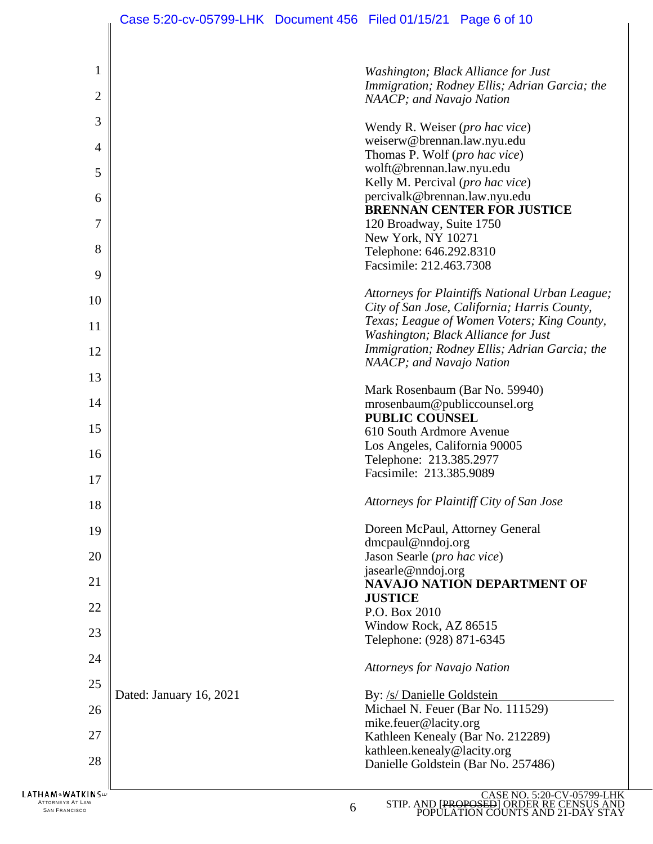| $\mathbf{1}$                              |                         | Washington; Black Alliance for Just                                                                              |
|-------------------------------------------|-------------------------|------------------------------------------------------------------------------------------------------------------|
|                                           |                         | Immigration; Rodney Ellis; Adrian Garcia; the                                                                    |
| $\overline{2}$                            |                         | NAACP; and Navajo Nation                                                                                         |
| 3                                         |                         | Wendy R. Weiser (pro hac vice)                                                                                   |
| $\overline{4}$                            |                         | weiserw@brennan.law.nyu.edu                                                                                      |
|                                           |                         | Thomas P. Wolf (pro hac vice)                                                                                    |
| 5                                         |                         | wolft@brennan.law.nyu.edu                                                                                        |
|                                           |                         | Kelly M. Percival (pro hac vice)                                                                                 |
| 6                                         |                         | percivalk@brennan.law.nyu.edu<br><b>BRENNAN CENTER FOR JUSTICE</b>                                               |
| $\overline{7}$                            |                         | 120 Broadway, Suite 1750                                                                                         |
|                                           |                         | New York, NY 10271                                                                                               |
| 8                                         |                         | Telephone: 646.292.8310                                                                                          |
|                                           |                         | Facsimile: 212.463.7308                                                                                          |
| 9                                         |                         |                                                                                                                  |
| 10                                        |                         | Attorneys for Plaintiffs National Urban League;                                                                  |
|                                           |                         | City of San Jose, California; Harris County,<br>Texas; League of Women Voters; King County,                      |
| 11                                        |                         | Washington; Black Alliance for Just                                                                              |
| 12                                        |                         | Immigration; Rodney Ellis; Adrian Garcia; the                                                                    |
|                                           |                         | NAACP; and Navajo Nation                                                                                         |
| 13                                        |                         |                                                                                                                  |
| 14                                        |                         | Mark Rosenbaum (Bar No. 59940)                                                                                   |
|                                           |                         | mrosenbaum@publiccounsel.org<br><b>PUBLIC COUNSEL</b>                                                            |
| 15                                        |                         | 610 South Ardmore Avenue                                                                                         |
|                                           |                         | Los Angeles, California 90005                                                                                    |
| 16                                        |                         | Telephone: 213.385.2977                                                                                          |
| 17                                        |                         | Facsimile: 213.385.9089                                                                                          |
|                                           |                         |                                                                                                                  |
| 18                                        |                         | Attorneys for Plaintiff City of San Jose                                                                         |
| 19                                        |                         | Doreen McPaul, Attorney General                                                                                  |
|                                           |                         | $d$ mcpaul@nndoj.org                                                                                             |
| 20                                        |                         | Jason Searle (pro hac vice)                                                                                      |
| 21                                        |                         | jasearle@nndoj.org<br><b>NAVAJO NATION DEPARTMENT OF</b>                                                         |
|                                           |                         | <b>JUSTICE</b>                                                                                                   |
| 22                                        |                         | P.O. Box 2010                                                                                                    |
| 23                                        |                         | Window Rock, AZ 86515                                                                                            |
|                                           |                         | Telephone: (928) 871-6345                                                                                        |
| 24                                        |                         | <b>Attorneys for Navajo Nation</b>                                                                               |
| 25                                        |                         |                                                                                                                  |
|                                           | Dated: January 16, 2021 | By: /s/ Danielle Goldstein                                                                                       |
| 26                                        |                         | Michael N. Feuer (Bar No. 111529)                                                                                |
| 27                                        |                         | mike.feuer@lacity.org<br>Kathleen Kenealy (Bar No. 212289)                                                       |
|                                           |                         | kathleen.kenealy@lacity.org                                                                                      |
| 28                                        |                         | Danielle Goldstein (Bar No. 257486)                                                                              |
|                                           |                         |                                                                                                                  |
| HAM ∾WATKIN S≔<br><b>ATTORNEYS AT LAW</b> |                         | CASE NO. 5:20-CV-05799-LHK<br>STIP. AND [PROPOSED] ORDER RE CENSUS AND<br>POPULATION COUNTS AND 21-DAY STAY<br>6 |
| <b>SAN FRANCISCO</b>                      |                         |                                                                                                                  |

 $\mathbb{I}$ 

STIP. AND [PROPOSED] ORDER RE CENSUS AND POPULATION COUNTS AND 21-DAY STAY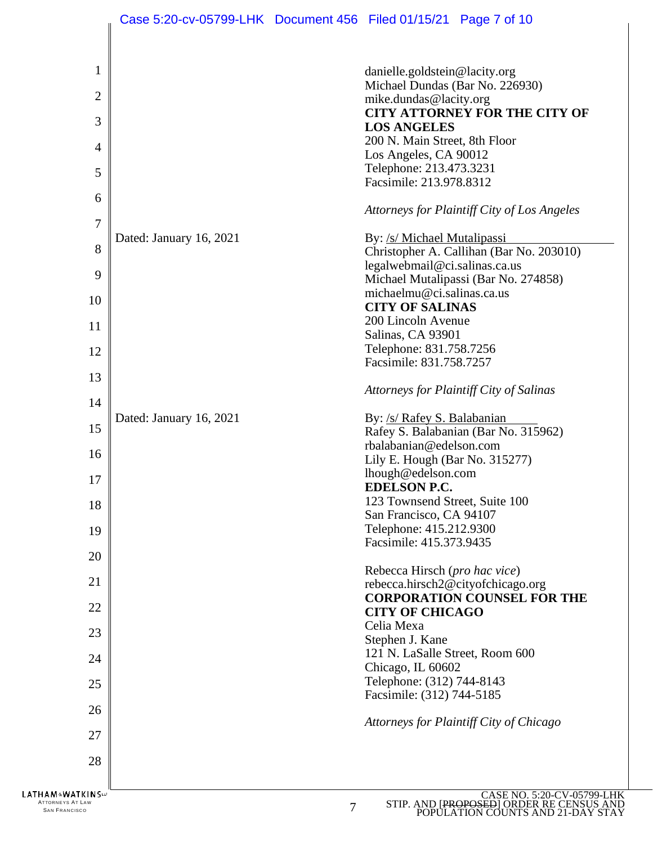|                                                 | Case 5:20-cv-05799-LHK Document 456 Filed 01/15/21 Page 7 of 10 |                |                                                    |                                                                      |
|-------------------------------------------------|-----------------------------------------------------------------|----------------|----------------------------------------------------|----------------------------------------------------------------------|
|                                                 |                                                                 |                |                                                    |                                                                      |
|                                                 |                                                                 |                |                                                    |                                                                      |
| $\mathbf{1}$                                    |                                                                 |                | danielle.goldstein@lacity.org                      |                                                                      |
| $\mathbf{2}$                                    |                                                                 |                | Michael Dundas (Bar No. 226930)                    |                                                                      |
|                                                 |                                                                 |                | mike.dundas@lacity.org                             | <b>CITY ATTORNEY FOR THE CITY OF</b>                                 |
| 3                                               |                                                                 |                | <b>LOS ANGELES</b>                                 |                                                                      |
|                                                 |                                                                 |                | 200 N. Main Street, 8th Floor                      |                                                                      |
| $\overline{4}$                                  |                                                                 |                | Los Angeles, CA 90012                              |                                                                      |
| 5                                               |                                                                 |                | Telephone: 213.473.3231                            |                                                                      |
|                                                 |                                                                 |                | Facsimile: 213.978.8312                            |                                                                      |
| 6                                               |                                                                 |                |                                                    | Attorneys for Plaintiff City of Los Angeles                          |
| 7                                               |                                                                 |                |                                                    |                                                                      |
|                                                 | Dated: January 16, 2021                                         |                | By: /s/ Michael Mutalipassi                        |                                                                      |
| 8                                               |                                                                 |                |                                                    | Christopher A. Callihan (Bar No. 203010)                             |
| 9                                               |                                                                 |                | legalwebmail@ci.salinas.ca.us                      |                                                                      |
|                                                 |                                                                 |                | michaelmu@ci.salinas.ca.us                         | Michael Mutalipassi (Bar No. 274858)                                 |
| 10                                              |                                                                 |                | <b>CITY OF SALINAS</b>                             |                                                                      |
| 11                                              |                                                                 |                | 200 Lincoln Avenue                                 |                                                                      |
|                                                 |                                                                 |                | Salinas, CA 93901                                  |                                                                      |
| 12                                              |                                                                 |                | Telephone: 831.758.7256                            |                                                                      |
| 13                                              |                                                                 |                | Facsimile: 831.758.7257                            |                                                                      |
|                                                 |                                                                 |                |                                                    | Attorneys for Plaintiff City of Salinas                              |
| 14                                              |                                                                 |                |                                                    |                                                                      |
| 15                                              | Dated: January 16, 2021                                         |                | By: /s/ Rafey S. Balabanian                        |                                                                      |
|                                                 |                                                                 |                | rbalabanian@edelson.com                            | Rafey S. Balabanian (Bar No. 315962)                                 |
| 16                                              |                                                                 |                | Lily E. Hough (Bar No. 315277)                     |                                                                      |
|                                                 |                                                                 |                | lhough@edelson.com                                 |                                                                      |
| 17                                              |                                                                 |                | <b>EDELSON P.C.</b>                                |                                                                      |
| 18                                              |                                                                 |                | 123 Townsend Street, Suite 100                     |                                                                      |
|                                                 |                                                                 |                | San Francisco, CA 94107                            |                                                                      |
| 19                                              |                                                                 |                | Telephone: 415.212.9300<br>Facsimile: 415.373.9435 |                                                                      |
| 20                                              |                                                                 |                |                                                    |                                                                      |
|                                                 |                                                                 |                | Rebecca Hirsch (pro hac vice)                      |                                                                      |
| 21                                              |                                                                 |                |                                                    | rebecca.hirsch2@cityofchicago.org                                    |
| 22                                              |                                                                 |                | <b>CITY OF CHICAGO</b>                             | <b>CORPORATION COUNSEL FOR THE</b>                                   |
|                                                 |                                                                 |                | Celia Mexa                                         |                                                                      |
| 23                                              |                                                                 |                | Stephen J. Kane                                    |                                                                      |
| 24                                              |                                                                 |                | 121 N. LaSalle Street, Room 600                    |                                                                      |
|                                                 |                                                                 |                | Chicago, IL 60602                                  |                                                                      |
| 25                                              |                                                                 |                | Telephone: (312) 744-8143                          |                                                                      |
| 26                                              |                                                                 |                | Facsimile: (312) 744-5185                          |                                                                      |
|                                                 |                                                                 |                |                                                    | Attorneys for Plaintiff City of Chicago                              |
| 27                                              |                                                                 |                |                                                    |                                                                      |
| 28                                              |                                                                 |                |                                                    |                                                                      |
|                                                 |                                                                 |                |                                                    |                                                                      |
| LATHAM®WATKINS™                                 |                                                                 |                |                                                    | CASE NO. 5:20-CV-05799                                               |
| <b>ATTORNEYS AT LAW</b><br><b>SAN FRANCISCO</b> |                                                                 | $\overline{7}$ |                                                    | STIP. AND [PROPOSED] ORDER RE CENSUS<br>POPULATION COUNTS AND 21-DAY |

CASE NO. 5:20-CV-05799-LHK STIP. AND [PROPOSED] ORDER RE CENSUS AND POPULATION COUNTS AND 21-DAY STAY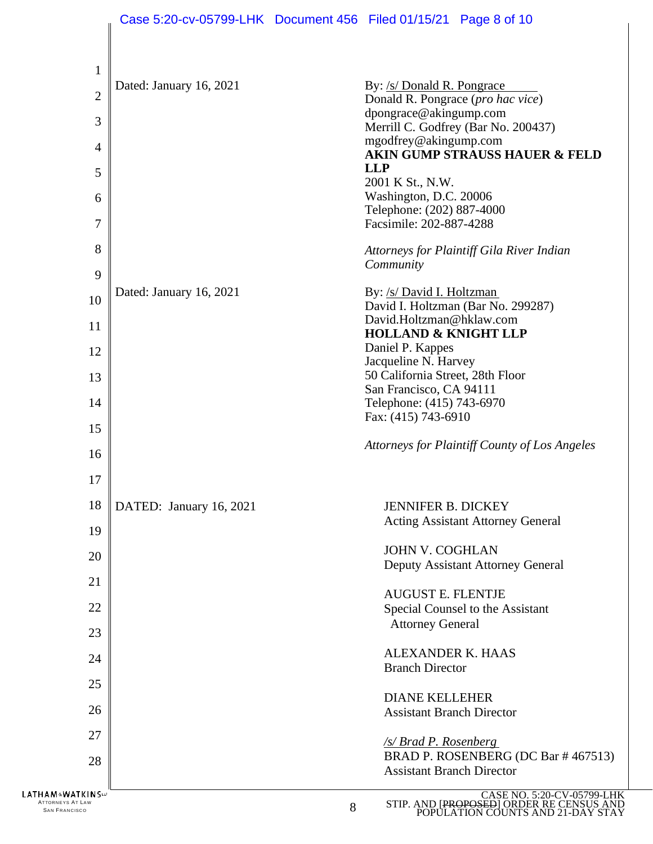|                                                                      | Case 5:20-cv-05799-LHK Document 456 Filed 01/15/21 Page 8 of 10 |   |                                                                  |                                                                                                             |
|----------------------------------------------------------------------|-----------------------------------------------------------------|---|------------------------------------------------------------------|-------------------------------------------------------------------------------------------------------------|
|                                                                      |                                                                 |   |                                                                  |                                                                                                             |
| 1                                                                    | Dated: January 16, 2021                                         |   | By: /s/ Donald R. Pongrace                                       |                                                                                                             |
| $\overline{2}$                                                       |                                                                 |   | Donald R. Pongrace (pro hac vice)                                |                                                                                                             |
| 3                                                                    |                                                                 |   | dpongrace@akingump.com                                           | Merrill C. Godfrey (Bar No. 200437)                                                                         |
| $\overline{4}$                                                       |                                                                 |   | mgodfrey@akingump.com                                            |                                                                                                             |
| 5                                                                    |                                                                 |   | <b>LLP</b>                                                       | AKIN GUMP STRAUSS HAUER & FELD                                                                              |
|                                                                      |                                                                 |   | 2001 K St., N.W.                                                 |                                                                                                             |
| 6                                                                    |                                                                 |   | Washington, D.C. 20006<br>Telephone: (202) 887-4000              |                                                                                                             |
| $\overline{7}$                                                       |                                                                 |   | Facsimile: 202-887-4288                                          |                                                                                                             |
| 8<br>9                                                               |                                                                 |   | Community                                                        | Attorneys for Plaintiff Gila River Indian                                                                   |
|                                                                      | Dated: January 16, 2021                                         |   | By: /s/ David I. Holtzman                                        |                                                                                                             |
| 10                                                                   |                                                                 |   |                                                                  | David I. Holtzman (Bar No. 299287)                                                                          |
| 11                                                                   |                                                                 |   | David.Holtzman@hklaw.com<br><b>HOLLAND &amp; KNIGHT LLP</b>      |                                                                                                             |
| 12                                                                   |                                                                 |   | Daniel P. Kappes                                                 |                                                                                                             |
| 13                                                                   |                                                                 |   | Jacqueline N. Harvey<br>50 California Street, 28th Floor         |                                                                                                             |
|                                                                      |                                                                 |   | San Francisco, CA 94111                                          |                                                                                                             |
| 14                                                                   |                                                                 |   | Telephone: (415) 743-6970<br>Fax: (415) 743-6910                 |                                                                                                             |
| 15                                                                   |                                                                 |   |                                                                  |                                                                                                             |
| 16                                                                   |                                                                 |   |                                                                  | Attorneys for Plaintiff County of Los Angeles                                                               |
| 17                                                                   |                                                                 |   |                                                                  |                                                                                                             |
| 18                                                                   | DATED: January 16, 2021                                         |   | <b>JENNIFER B. DICKEY</b>                                        |                                                                                                             |
|                                                                      |                                                                 |   |                                                                  | <b>Acting Assistant Attorney General</b>                                                                    |
| 19                                                                   |                                                                 |   | <b>JOHN V. COGHLAN</b>                                           |                                                                                                             |
| 20                                                                   |                                                                 |   |                                                                  | Deputy Assistant Attorney General                                                                           |
| 21                                                                   |                                                                 |   |                                                                  |                                                                                                             |
| 22                                                                   |                                                                 |   | <b>AUGUST E. FLENTJE</b>                                         | Special Counsel to the Assistant                                                                            |
| 23                                                                   |                                                                 |   | <b>Attorney General</b>                                          |                                                                                                             |
|                                                                      |                                                                 |   | <b>ALEXANDER K. HAAS</b>                                         |                                                                                                             |
| 24                                                                   |                                                                 |   | <b>Branch Director</b>                                           |                                                                                                             |
| 25                                                                   |                                                                 |   | <b>DIANE KELLEHER</b>                                            |                                                                                                             |
| 26                                                                   |                                                                 |   | <b>Assistant Branch Director</b>                                 |                                                                                                             |
| 27                                                                   |                                                                 |   |                                                                  |                                                                                                             |
| 28                                                                   |                                                                 |   | <u>/s/ Brad P. Rosenberg</u><br><b>Assistant Branch Director</b> | BRAD P. ROSENBERG (DC Bar # 467513)                                                                         |
| LATHA M∝WATKIN S₩<br><b>ATTORNEYS AT LAW</b><br><b>SAN FRANCISCO</b> |                                                                 | 8 |                                                                  | CASE NO. 5:20-CV-05799-LHK<br>STIP. AND [PROPOSED] ORDER RE CENSUS AND<br>POPULATION COUNTS AND 21-DAY STAY |

STIP. AND [PROPOSED] ORDER RE CENSUS AND POPULATION COUNTS AND 21-DAY STAY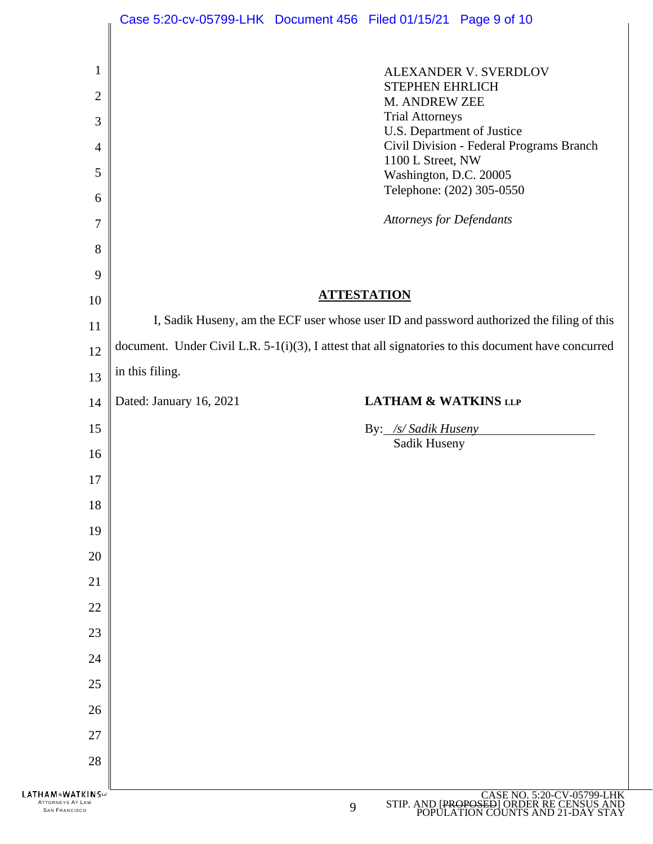|                             | Case 5:20-cv-05799-LHK Document 456 Filed 01/15/21 Page 9 of 10                                             |
|-----------------------------|-------------------------------------------------------------------------------------------------------------|
|                             |                                                                                                             |
| 1                           | ALEXANDER V. SVERDLOV                                                                                       |
| $\overline{2}$              | <b>STEPHEN EHRLICH</b>                                                                                      |
| 3                           | M. ANDREW ZEE<br><b>Trial Attorneys</b>                                                                     |
|                             | U.S. Department of Justice                                                                                  |
| $\overline{4}$              | Civil Division - Federal Programs Branch<br>1100 L Street, NW                                               |
| 5                           | Washington, D.C. 20005<br>Telephone: (202) 305-0550                                                         |
| 6                           |                                                                                                             |
| $\overline{7}$              | <b>Attorneys for Defendants</b>                                                                             |
| 8                           |                                                                                                             |
| 9                           |                                                                                                             |
| 10                          | <b>ATTESTATION</b>                                                                                          |
| 11                          | I, Sadik Huseny, am the ECF user whose user ID and password authorized the filing of this                   |
| 12                          | document. Under Civil L.R. $5-1(i)(3)$ , I attest that all signatories to this document have concurred      |
| 13                          | in this filing.                                                                                             |
| 14                          | Dated: January 16, 2021<br><b>LATHAM &amp; WATKINS LLP</b>                                                  |
|                             |                                                                                                             |
| 15                          |                                                                                                             |
|                             | By: /s/ Sadik Huseny<br>Sadik Huseny                                                                        |
| 16<br>17                    |                                                                                                             |
| 18                          |                                                                                                             |
| 19                          |                                                                                                             |
| 20                          |                                                                                                             |
| 21                          |                                                                                                             |
| 22                          |                                                                                                             |
| 23                          |                                                                                                             |
| 24                          |                                                                                                             |
| 25                          |                                                                                                             |
| 26                          |                                                                                                             |
| 27                          |                                                                                                             |
| 28                          |                                                                                                             |
| <b>LATHAM&amp;WATKINS</b> W | CASE NO. 5:20-CV-05799-LHK<br>STIP. AND [PROPOSED] ORDER RE CENSUS AND<br>POPULATION COUNTS AND 21-DAY STAY |